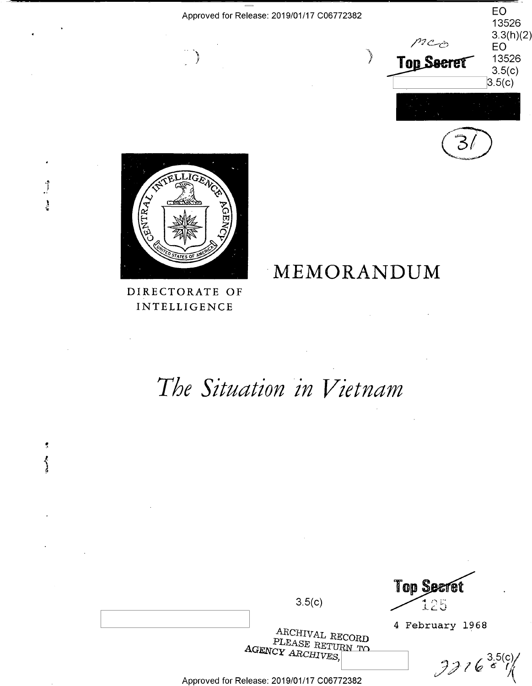|                                            | $\rho$ <sub>200</sub><br>Top Seeret | 13526<br>3.5(c)<br>3.5(c)      |
|--------------------------------------------|-------------------------------------|--------------------------------|
| Approved for Release: 2019/01/17 C06772382 |                                     | EO<br>13526<br>3.3(h)(2)<br>EO |





 $\ddot{\phantom{0}}$ 

 $\overline{\overline{s}}$  $\sum_{i=1}^{n}$  DIRECTORATE OF INTELLIGENCE

MEMORANDUM

# The Situation in Vietnam

|  |                                                        | <b>Top Secret</b> |
|--|--------------------------------------------------------|-------------------|
|  | 3.5(c)                                                 | 125               |
|  | ARCHIVAL RECORD                                        | 4 February 1968   |
|  | PLEASE RETURN TO<br>$\Lambda$ GENCY $\Lambda$ RCHIVES, |                   |
|  |                                                        | 33163(0)          |
|  | Approved for Release: 2019/01/17 C06772382             |                   |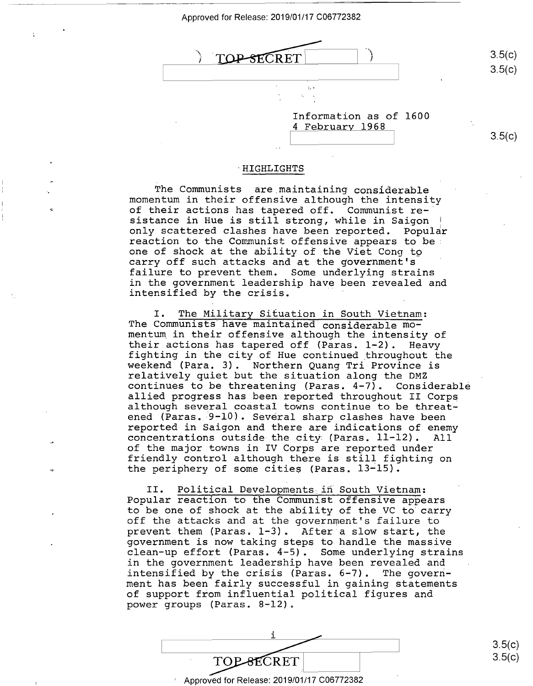

Information as of 1600 Information as of 1600 4 February 1968 4 February 1968

## 3.5(c) 3.5(C)

3.5(c) 3.5(c)

#### ·HIGHLIGHTS ' HIGHLIGHTS

The Communists are maintaining considerable The Communists are maintaining considerable momentum in their offensive although the intensity momentum in their offensive although the intensity of their actions has tapered off. Communist re-of their actions has tapered off. Communist re-' of their actions has tapered off. Communist re-<br>sistance in Hue is still strong, while in Saigon | only scattered clashes have been reported. Popular only scattered clashes have been reported. POpular reaction to the Communist offensive appears to be• reaction to the Communist offensive appears to be: readeron to the community of the Viet Cong to be former of shock at the ability of the Viet Cong to carry off such attacks and at the government's carry off such attacks and at the government's failure to prevent them. Some underlying strains failure to prevent them. Some underlying strains in the government leadership have been revealed and in the government leadership have been revealed and In the government readership have been intensified by the crisis.

I

I. The Military Situation in South Vietnam: I. The Military Situation in South Vietnam: The Communists have maintained considerable momentum. in their offensive although the intensity of mentum in their offensive although the intensity of their actions has tapered off (Paras. 1-2). Heavy their actions has tapered off (Paras. 1-2). Heavy fighting in the city of Hue continued throughout the fighting in the city of Hue continued\_throughout the weekend (Para. 3). Northern Quang Tri Province is weekend (Para. 3). Northern Quang Tri Province is relatively quiet but the situation along the DMZ relatively quiet but the situation along the DMZ continues to be threatening (Paras. 4-7). Considerable continues to be threatening (Paras. 4—7). Considerable allied progress has been reported throughout II Corps allied progress has been reported throughout II Corps although several coastal towns continue to be threat-although several coastal towns continue to be threatened (Paras. 9-10). Several sharp clashes have been reported in Saigon and there are indications of enemy reported in Saigon and there are indications of enemy concentrations outside the city: (Paras. 11-12). All concentrations outside-the city (Paras. 11—12). All of the major towns in IV Corps are reported under of the major towns in IV Corps are reported under friendly control although there is still fighting on friendly control although there is still fighting on the periphery of some cities (Paras. 13-15). the periphery of some cities (Paras. 13—15).

II. Political Developments ifi South Vietnam: II. Political Developments in South Vietnam: Popular reaction to the Communist offensive appears POpular reaction to the Communist offensive appears to be one of shock at the ability of the VC to carry to be one of shock at the ability of the VC to carry of the attacks and at the government's failure to the attacks and at the government's failure to prevent them (Paras. 1-3). After a slow start, the prevent them (Paras. 1—3). After'a slow start, the government is now taking steps to handle the massive government is now taking steps to handle the massive clean-up effort (Paras. 4-5). Some underlying strains clean-up effort (Paras. 4—5). Some underlying strains in the government leadership have been revealed and in the government leadership have been revealed and intensified by the crisis (Paras. 6-7). The govern-intensified by the crisis (Paras. 6—7). The government has been fairly successful in gaining statements ment has been fairly successful in gaining statements of support from influential political figures and of support from influential political figures and power groups (Paras. 8-12). power groups (Paras. 8—12).

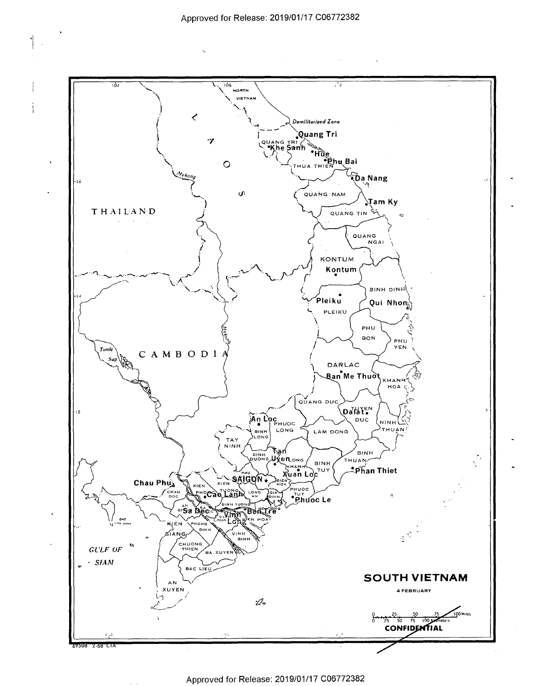$\cdot|$ 

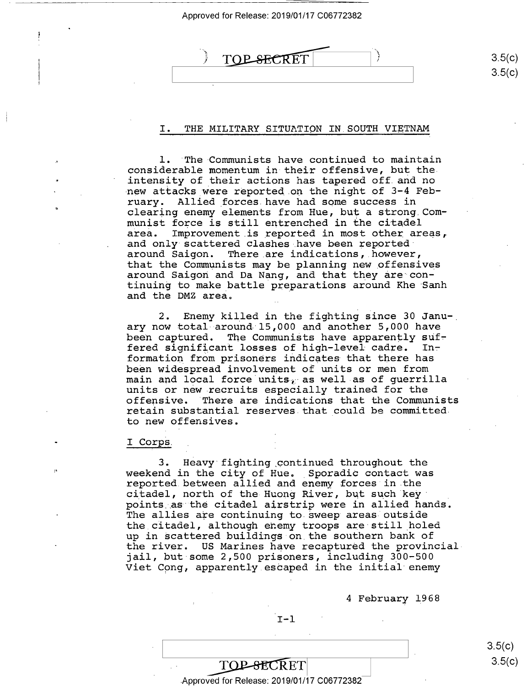# TOP SECRET

3.5(c) 3.5(c)  $\mathcal{V}$ 

## I. THE MILITARY SITUATION IN SOUTH VIETNAM

1. The Communists have continued to maintain l. 'The-Communists have continued to maintain considerable momentum in their offensive, but the considerable momentum in their offensive, but the. intensity of their actions has tapered off. and no intensity of their actions has tapered off.and no new attacks were reported on the night of 3-4 February. Allied \_forces. have had some success in ruary. Allied forces.have had some success in clearing enemy elements from Hue, but a strong,Com-clearing enemy elements from Hue, but <sup>a</sup> strong Communist force is still entrenched in the citadel munist force is still entrenched in the citadel area. Improvement is reported in most other areas, and only scattered clashes have been reported· and only-scattered clashes have been reportedard only concessed charge may be seen appeared. that the Communists may be planning new \_offensives that the Communists may be planning new\_offensives around Saigon and Da Nang, and that they are·con-around Saigon and Da Nang, and that they are conaround Burgon und Bu nang, und that they are con-<br>tinuing to make battle preparations around Khe Sanh and the DMZ area.

2. Enemy killed in the fighting since 30 Janu-. 2. Enemy killed in the fighting since 30 Janu-, ary now total around-15,000 and another 5,000 have ary now total around 15,000 and another 5,000 have been captured. The Communists have apparently sufseen emperated. The communities have appearingly surformation from prisoners indicates that there has formation from prisoners indicates-that there has been widespread involvement of units or men from  $\frac{1}{2}$  as well as of guerrilla main and local force units $\frac{1}{2}$  as well as of guerrilla units or new recruits especially trained for the units or new recruits especially trained for the offensive. There are indications that the Communists offensive. 'There are indications that the Communists retain substantial reserves.that could be committed retain substantial reserves that could be committed. to new offensives. to new offensives.

#### I Corps. Corps. I

,,

3. Heavy fighting .continued throughout the 3. Heavy fighting continued throughout the weekend in the city of Hue. Sporadic contact was reported between allied and enemy forces in the reported between allied and enemy forces in.the citadel, north of the Huong River, but such key points .as the citadel airstrip were in allied hands. points as the citadel airstrip were in allied hands. points as the creater arriverip were in arrica nanas.<br>The allies are continuing to sweep areas outside the citadel, although enemy troops are still holed up in scattered buildings on.the southern bank of up in Scattered buildings on the southern bank of the river. US Marines have recaptured the provincial the river. US Marines have recaptured the provincialjail, but-some 2,500 prisoners, including 300-500 jail, but some 2,500 prisoners, including 300—500 Viet Cpng, apparently.escaped in the initial enemy Viet Cong, apparently.eSCaped in the initial enemy

<sup>4</sup>February 1968 4 February I968

3.5(c) 3.5(c)

~ETI <sup>J</sup> .Approved for Release: 2019/01/17 C06772382 Approved for Release: 2019/01/17 006772382

TOP-SECRET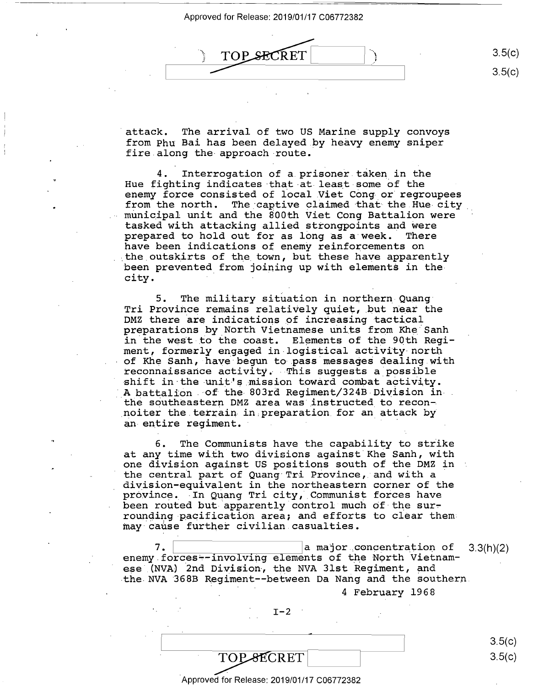TM '1 - aw»  $3.5(c)$ 

· attack. The arrival of two US Marine supply convoys 'attack. The arrival of two US Marine supply convoys from Phu Bai has been delayed by heavy enemy sniper from Phu Bai has been delayed.by heavy enemy sniper fire along the· approach route. fire.along the-approach-route.

4. Interrogation of a. prisoner taken in the 4. Interrogation of a.prisoner.taken in the Hue fighting indicates that at least some of the enemy force consisted of local Viet Cong or regroupees enomy force consisted of focal vice cong of fegroupees<br>from the north. The captive claimed that the Hue-city municipal unit and the 800th Viet Cong Battalion were municipal unit and the 800th Viet Cong Battalion were tasked with attacking allied strongpoints and were tasked with attacking allied strongpoints and Were prepared to hold out for as long as a week. There prepared to hold out for as long as <sup>a</sup> week. There have been indications of enemy reinforcements on have been indications of enemy reinforcements on the outskirts of the town, but these have apparently been prevented from joining up with elements in the city. ·

5. The military situation in northern Quang 5. The military situation in northern-Quang-Tri Province remains relatively quiet, but near the DMZ there are indications of increasing tactical preparations by North Vietnamese units from Khe Sanh in the west to the coast. Elements of the 90th Regiment, formerly engaged in•logistical activity·nortn ment, formerly engaged in-logistical activity-north ment, Itimum of the Sanh, have begun to pass messages dealing with reconnaissance activity. This suggests a.possible reconnaissance activity. ~This suggests <sup>a</sup> possible recommanssance accretity. This saggests a possible shift in the unit's mission toward combat activity. A battalion of the 803rd Regiment/324B Division inthe southeastern DMZ area was·Jnstructed to recon-the southeastern DMZ area was'instructed\_to recon noiter the.terrain in,preparation for an attack by \_noiter the terrain in preparation for an\_attack by noise and compaint in proportions for any

6. The Conununists have the capability to strike 6. The Communists have the capability to strike at any time with two divisions against Khe Sanh, with one division against US positions south of the DMZ in one division against US positions south ofthe DMZ in one division against os positions south of the she in the state of Quang Tri Province, and with a division-equivalent in the northeastern corner of the division-equivalent in the northeastern corner of the arvision equivalent in the hordness can corner of the<br>province. In Quang Tri city, Communist forces have province: In gaing 111 crep, communice rorees have rounding pacification area; and efforts to clear them rounding-pacificatiOn area; and efforts to clear them: :inay·cause further civilian.casualties. may-cause further civilian.casualties.

 $7.$   $\Box$  a major concentration of  $3.3(h)(2)$ enemy forces--involving elements of the North Vietnamese (NVA) 2nd Division, the NVA 31st Regiment, and the NVA 368B Regiment--between Da Nang and the southern 7. '

 $\sim$ 

4 February 1968 4 February 1968

 $I-2$  $I-2$   $I-3$ 

TOP SECRET 3.5(c)  $3.5(c)$ 3.5(c)

3.5(c)

3.5(c)

·Approved for Release: 2019/01/17 C06772382 'Approved for Release: 2019/01/17 006772382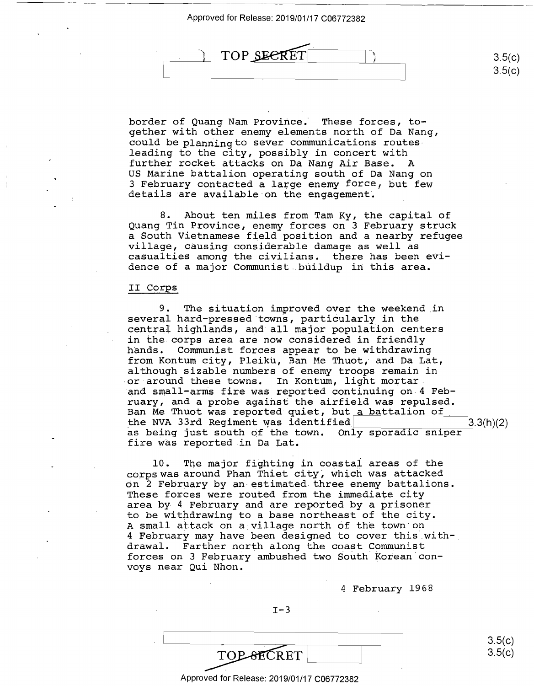

border of Quang Nam Province. These forces, together with other enemy elements north of Da Nang, gether with other enemy elements north ofDa Nang, could be planning to sever communications routes could be planning to sever communications routesleading to the city, possibly in concert with leading to the city, possibly in concert with further rocket attacks on Da Nang Air Base. A further rocket attacks on Da Nang Air Base. A US Marine battalion operating south of Da Nang on US Marine battalion Operating south of Da Nang on 3 February contacted a large enemy force, but few 3 February contacted <sup>a</sup> large enemy force, but few details are available·on the engagement. details are available on the engagement.

8. About ten miles from Tam Ky, the capital of 8. About ten miles from Tam Ky, the capital of Quang Tin Province, enemy forces on 3 February struck Quang Tin Province, enemy forces on 3 February struck a South Vietnamese field position and a nearby refugee <sup>a</sup> South Vietnamese field position and <sup>a</sup> nearby refugee village, causing considerable damage as well as village, causing considerable damage as well as virings, sudding considerable damage as well as<br>casualties among the civilians. there has been evidence of a major Communist..buildup in this area.

# II Corps II Corps

9. The situation improved over the weekend in 9. The situation improved over the weekend in several hard-pressed towns, particularly in the several hard—pressed towns, particularly in the central highlands, and all major population centers central highlands, and'all major population centers in the corps area are now considered in friendly in the corps area are now considered in friendly hands. Communist forces appear to be withdrawing from Kontum city, Pleiku, Ban Me Thuot, and Da Lat, from Kontum city, Pleiku, Ban Me Thuot, and Da Lat, although sizable numbers of enemy troops remain in although sizable numbers of enemy troops remain in or around these towns. In Kontum, light mortar. -or-around these towns. In Kontum, light mortar. and small-arms fire was reported continuing on 4 Feb-"and small-arms fire was reported continuing on-4 February, and a probe against the airfield was repulsed. ruary, and <sup>a</sup> probe against the airfield was repulsed. raary, and a prose against the arritera was reparsed.<br>Ban Me Thuot was reported quiet, but a battalion of the NVA 33rd Regiment was identified 3.3(h)(2) as being just south of the town. Only sporadic sniper— $\frac{0.0(11)(2)}{2}$ fire was reported in Da Lat. fire was reported.in Da Lat.

10. The major fighting in coastal areas of the 10. The major fighting in coastal areas of the corps was around Phan Thiet city, which was attacked on 2 February by an estimated three enemy battalions. On 2 February by an-estimated.three enemy battalions. These forces were routed from the immediate city These forces were routed from the immediate city area by 4 February and are reported by a prisoner area by 4 February and are reported by <sup>a</sup> prisoner to be withdrawing to a base northeast of the city. to be withdrawing to <sup>a</sup> base northeast of the city. A small attack on a village north of the town·on A small attack on <sup>a</sup> village north Ofthe town on 4 February may have been designed to cover this with-. 4 February may have been designed to cover this with—\_ drawal. Farther north along the coast Communist drawal. Farther north along the coast Communist forces on 3 February ambushed two South Korean con-forces on 3 February ambushed two South Korean convoys near Qui Nhon. voys near Qui Nhon.

4 February 1968 4 February 1968

 $I-3$ 

Approved for Release: 2019/01/17 C06772382 Approved for Release: 2019/01/17 006772382

3.5(c) 3.5(c)

 $3.5(c)$ 

 $3.5(c)$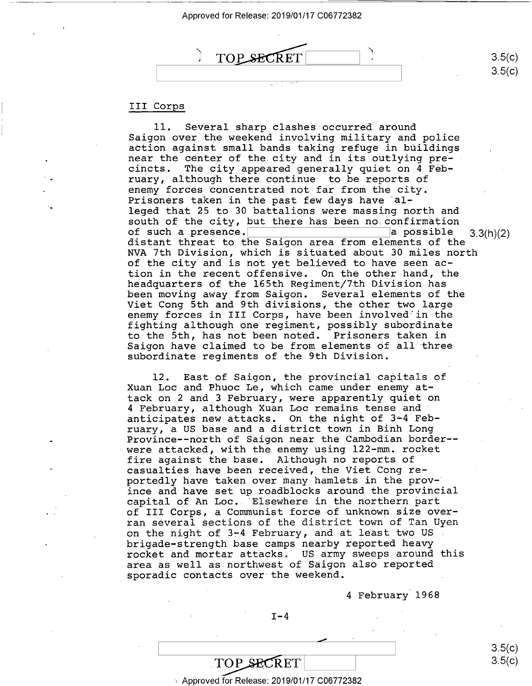

# III Corps III Corps

-.

11. Several sharp clashes occurred around 11. Several sharp clashes occurred around Saigon over the weekend involving military and police Saigon over the weekend involving military and police action against small bands taking refuge in buildings near the center of the. city and in its outlying pre-near the center of the.city and in its outlying precincts. The city appeared generally quiet on 4 Feb-Cincts. The city appeared generally quiet on,4 February, although there continue to be reports of ruary, although there continue' to be reports of enemy forces concentrated not far from the city. enemy forces concentrated not far from the city. Prisoners taken in the past few days have alleged that 25 to 30 battalions were massihg north and leged that 25 to 30 battalions were massing north and south of the city, but ther~ has been no.confirmation south of the city, but there has been no confirmation south of the city, but there has been no confirmation<br>of such a presence.<br>distant threat to the Saigon area from elements of the NVA 7th Division, which is situated about 30 miles north NVA 7th Division, which is situated about 30 miles north of the city and is not yet believed to have seen ac-of the city and is not yet believed to have seen action in the recent offensive. On the other hand, the tion in the recent offensive. On the other hand, the headquarters of the 165th Regiment/7th Division has headquarters of the 165th Regiment/7th Division has been moving away from Saigon. Several elements of the been moving away from Saigon. Several elements of the Viet Cong 5th and 9th divisions, the other two large Viet Cong 5th and 9th divisions, the other two large enemy forces in III Corps, have been involved'in the enemy forces in III Corps, have been involved in the fighting although one regim~nt, possibly subordinate fighting although one regiment, possibly subordinate to the 5th, has not been noted. Prisoners taken in to the 5th, has not been noted. Prisoners taken in Saigon have claimed to be from elements of all three subordinate regiments of the 9th Division. subordinate regiments of the 9th Division. of such <sup>a</sup> presence.' \a possible 3.3(h)(2)

12. East of Saigon, the provincial capitals of Xuan Loe and Phuoc Le, which came under enemy at-Xuan Loc and Phuoc Le, which came under enemy attack on 2 and 3 February, were apparently quiet on tack on 2 and\_3 February, were apparently quiet on 4 February, although Xuan Loe remains tense and 4 February, although Xuan Loc remains tense'and' anticipates new attacks. On the night of 3~4 Feb-anticipates new attacks. On the night of 3e4'February, a US base and a district town in Binh Long ruary, <sup>a</sup> US base and <sup>a</sup> district town in Binh Long Province--north of Saigon near the Cambodian border-- Province——nbrth of Saigon near the Cambodian border- were attacked, with the enemy using 122-mm. rocket -were attacked, with the enemy using 122—mm. rocket fire against the base. Although no reports of fire against the base. Although no reports of casualties have been received, the Viet Cong re-casualties haVe been reCeived, the Viet Cong reportedly have taken over many hamlets in the prov-portedly have taken over many hamlets in the prov-' ince and have set up roadblocks around the provincial ince and have set up roadblocks around the provincial capital of An Loe. 'Elsewhere in the northern ~art capital of An Loc..'Elsewhere in the northern part of III Corps, a Communist force of unknown size over-of III Corps, <sup>a</sup> Communist force-of unknown size overran several sections of the district town of Tan Uyen ran several Sections of the district town of Tan Uyen In Several Seconding of the alleged common cannot permit of the night of 3-4 February, and at least two US brigade-strength base camps nearby reported heavy brigade-strength base camps nearby reported heavy rocket and mortar attacks. US army sweeps around this rocket and mortar attacks.' US army sweeps around this area as well as.northwest of Saigon also reported area as well as northwest of Saigon also reported sporadic contacts over the weekend. sporadic contacts over the weekend.

4 February 1968 4 February 1968

 $T-4$ 

, Approved for Release: 2019/01/17 C06772382 Approved for Release: 2019/01/17 006772382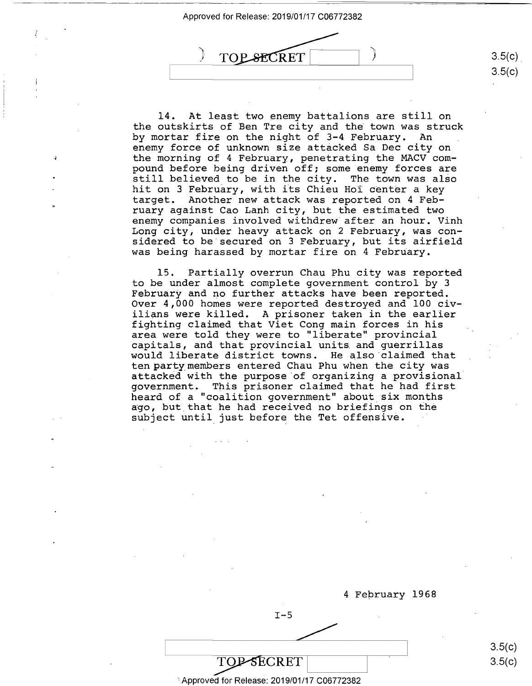

14. At least two enemy battalions are still on 14. At least two enemy battalions are still on the outskirts of Ben Tre city and the town was struck the outskirts of Ben Tre city and the town was struck by mortar fire on the night of 3-4 February. An by mortar fire on the night of 3-4 February. An enemy force of unknown size attacked Sa Dec city on enemy force of unknown size attacked Sa Dec city on the morning of 4 February, penetrating the MACV com-the morning of 4 February, penetrating the MACV com pound before being driven off; some enemy forces are pound before being driven off; some enemy forces are pound belore being driven oil; some enemy loices are<br>still believed to be in the city. The town was also stiil believed to be in the elty. The cown was also<br>hit on 3 February, with its Chieu Hoi center a key target. Another new attack was reported on 4 Feb-target. Another new attack was reported on 4 Feb ruary against Cao Lanh city, but the estimated two ruary against Cao Lanh city, but the estimated two enemy companies involved withdrew after an hour. Vinh enemy companies involved withdrew after an hour. Vinh Long city; under heavy attack on 2 February, was con-Long city, under heavy attack on 2 February, was con sidered to be secured on 3 February, but its airfield sidered to be secured on 3 February, but its airfield was being harassed by mortar fire on 4 February. TOP SECRET 11 1<br>
14. At least two enemy battalions are still of<br>
the outskirts of Ben Tre city and the town was str<br>
by mortar fire on the night of 3-4 February. An<br>
enemy force of unknown size attacked Sa Dec city of<br>
the

15. Partially overrun Chau Phu city was reported 15. Partially overrun Chau Phu city was reported to be under almost complete government control by 3 to be under almost complete government control by 3 February and no further attacks have been reported. February and no further attacks have been reported. Over 4,000 homes were reported destroyed and 100 civ-Over 4,000 homes were reported destroyed and 100 civilians were killed. A prisoner taken in the earlier ilians were killed. A prisoner taken in the earlier fighting claimed that Viet Cong main forces in his fighting claimed that Viet Cong main forces in his area were told they were to "liberate" provincial area were told they were to "liberate" provincial capitals, and that provincial units and guerrillas capitals, and that provincial units and guerrillas would liberate district towns. He also·claimed that would liberate district towns. He also claimed that would instruct district commonly intered Chau Phu when the city was attacked with the purpose ·of organizing a provisional attacked with the purpose of organizing <sup>a</sup> provisional' government. This prisoner claimed that he had first government. This prisoner claimed that he had first heard of a "coalition government" about six months heard of <sup>a</sup> "coalition government" about six months noute of a courreron government assae bin months subject until just before the Tet offensive. subject until just before the Tet offensive. '



3.5(c) 3.5(c)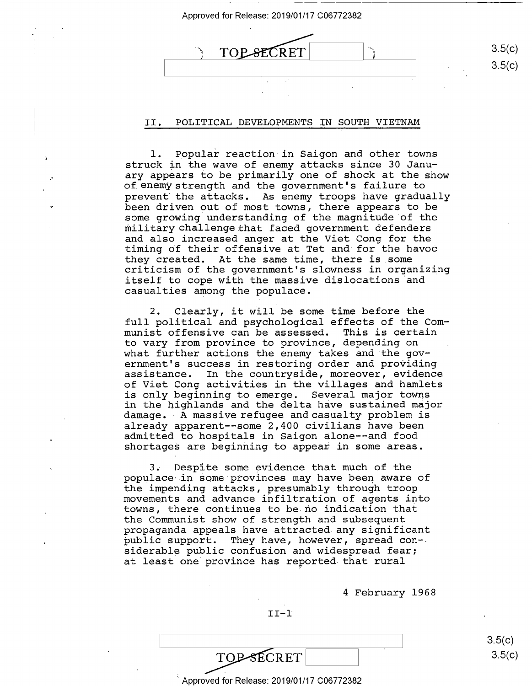| <b>TOP-SECRET</b> | 3.5(c)            |
|-------------------|-------------------|
|                   | 3.5(c)<br>$\cdot$ |
|                   |                   |

# II. POLITICAL DEVELOPMENTS IN SOUTH VIETNAM II. POLITICAL DEVELOPMENTS IN SOUTH VIETNAM

1. Popular reaction in Saigon and other towns struck in the wave of enemy attacks since 30 Janu-struck in the wave of enemy attacks since 30 January appears to be primarily one of shock at the show ary appears to be primarily one of shock at the show of enemystrength and the government's failure to of, enemy strength and the government's failure to prevent the attacks. As enemy troops have gradually prevent the attacks. As enemy troops have gradually been driven out of most towns, there appears to be been driven out of most towns, there appears to be some growing understanding of the magnitude of the military challenge that faced government defenders military challenge that faced government defenders and also increased anger at the Viet Cong for the and also increased anger at the Viet Cong for the timing of their offensive at Tet and for the havoc timing Of their offensive at Tet and for the havoc they created. At the same time, there is .some they created. At the same time, there is some criticism of the government's slowness in organizing criticism of the government's slowness in organizing criticism of the government s siowness in organizing<br>itself to cope with the massive dislocations and casualties among .the populace. casualties among.the populace.

2. Clearly, it will be some time before the 2. Clearly, it will be some time before the full political and psychological effects of the Com-full political and psychological effects of the Com munist offensive can be assessed. This is certain munist offensive can be assessed. This is certain to vary from province to province, depending on to vary from province to province, depending on what further actions the enemy takes and·the gov-what further actions the enemy takes and the gov ernment's success in restoring order and providing ernment's success in restoring order and providing assistance. In the countryside, moreover, evidence assistance. In the countryside, moreover, evidence of Viet Cong activities in the villages and hamlets of Viet Cong activities in the villages and hamlets is only beginning to emerge. Several major towns is only beginning to emerge. Several major towns in the highlands and the delta have sustained major in the highlands and the delta have sustained major In the highlands and the derica have sustained major<br>damage. A massive refugee and casualty problem is already apparent--some 2,400 civilians have been already apparent—~some 2,400 civilians have been admitted to hospitals in Saigon alone--and food admitted to hospitals in Saigon alone-—and food shortages are beginning to appear in some areas. shortages are beginning to appear in some areas.

3. Despite some evidence that much of the 3. Despite some evidence that much of the populace in some provinces may have been aware of populace in Some provinces may have been aware of the impending attacks, presumably through troop the impending attacks, presumably through troop movements and advance infiltration of agents into movements and advance infiltration of agents into towns, there continues to be no indication that towns, there\_continues to be no indication that the Communist show of strength and subsequent the Communist show of strength and subsequent propaganda appeals have attracted any significant propaganda appeals have attracted any significant public support. They have, however, spread con-. public support. They have, however, spread con— siderable public confusion and widespread fear; siderable public confusion and widespread fear; at least one province has reported that rural at least one province has reported that rural '

4 February 1968 4 February 1968

II-1 II-l'

TOP-SECRET

 $3.5(c)$  $3.5(c)$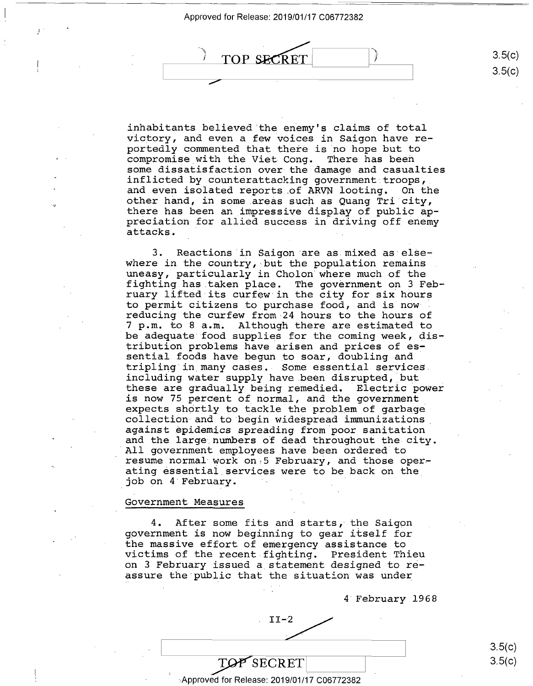$\mathcal{I}$ 



inhabitants believed.the enemy's claims of total inhabitants believed the enemy's claims of total victory, and even a few voices in Saigon have re-victory, and even <sup>a</sup> few voices in Saigon have reportedly commented that there is no hope but to portedly commented that there is no hope but to compromise.with the Viet Cong. There has been compromise with the Viet-Cong. There has been some dissatisfaction over the damage and casualties some disSatisfaction oVer-the damage and casualties bome disouclestation over the damage and castalities<br>inflicted by counterattacking government troops, and even isolated reports .of ARVN looting. On the and even isolated reports of ARVN looting. On the other hand, in some areas such as Quang Tri city, other hand, in some\_areas such as Quang Tri city, there has been an impressive display of public ap-there has been an impressive display of public appreciation for allied success in driving off enemy preciation for allied success in driving off enemy processes is allow baccess in a<br>attacks.

3. Reactions in Saigon are as mixed as elsewhere in the country, but the population remains where in the country, but the population remains uneasy, particularly in Cholon where much of the uneasy, particularly in Cholon'where much of the fighting has taken place. The government on 3 Feb-fighting has\_taken place. The government on 3 Feb ruary lifted its curfew in the city for six hours ruary lifted its curfew in the city for six hours to permit citizens to purchase food, and is now reducing the curfew from 24 hours to the hours of reducing the curfew from-24 hours to the hours of 7 p.rn. to 8 a.rn. Although there are estimated to 7 p.m. to 8 a.m. Although there are estimated to be adequate food supplies for the coming week, distribution problems have arisen and prices of es-tribution problems have arisen and prices of es: sential foods have begun to soar, doubling and· sential foods have begun\_to soar, doubling and tripling in many cases. Some essential services tripling in\_many caSes.- Some essential services. including water supply have been disrupted, but these are gradually being remedied. Electric power these are gradually being remedied. Electric power is now 75 percent of normal, and the government is now 75 percent of normal, and the government\_ expects shortly to tackle the problem of garbage collection and to begin widespread immunizations collection and tO'begin wideSpread immunizations. against ~pidernics spreading from poor sanitation against epidemics spreading from poor sanitation and the large numbers of dead throughout the city.<br>All government employees have been ordered to resume normal work on 5 February, and those operabstand hormal work on 3 restaur, and energy operating essential services were to be back on the job on 4 February. job on 4 February. ' 'All government employees have been ordered to

### Government Measures

4. After some fits and starts, the Saigon 4. After some fits and starts, the Saigon government is now beginning to gear itself for government is now beginning to gear itself for the massive effort of emergency assistance to the massive effort of emergency assistance to victims of the recent fighting. President Thieu victims of the recent fighting. President Thieu on 3 February issued a statement designed to re-on 3 February issued <sup>a</sup> statement designed to re assure the·public that the situation was under assure the public that the situation was under

4 February 1968 4'February 1968

 $II-2$ 

 $\text{LOP}$  SECRET 3.5(c) 3.5(c) 3.5(c)

3.5(c) 3.5(c)

,Approved for Release: 2019/01/17 C06772382 Approved for Release: 2019/01/17 006772382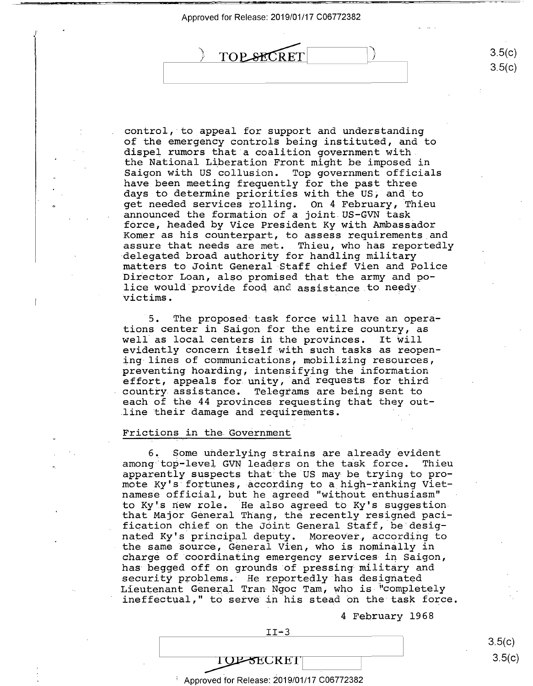r—\_ -—.r



control, to appeal for support and understanding control, to\_appeal for support and understanding of the emergency controls being instituted, and to of the emergency controls being instituted, and to dispel rumors that a coalition government with diSpel rumors that <sup>a</sup> coalition government with. the National Liberation Front might be imposed in the National Liberation Front might be imposed in Saigon with US collusion. Top government officials Saigon with US collusion. Top government officials have been meeting frequently for the past three have been meeting frequently for the past three days to determine priorities with the US, and to days to determine priorities with the US, and to get needed services rolling. On 4 February, Thieu get needed services rolling. On 4 February, Thieu announced the formation of a joint US-GVN task announced the formation ofa joint.US-GVN task force, headed by Vice President Ky with Ambassador ferce, headed by Vice President Ky with Ambassador Korner as his counterpart, to assess requirements and Komer as his counterpart, to assess requirements\_and assure that needs are met. Thieu, who has reportedly assure that needs are met. Thieu, who has reportedly delegated broad authority for handling military -delegated broad authority for handling military matters to Joint General Staff chief Vien and Police matters to Joint General-Staff chief Vien and Police Director Loan, also promised that the army and po-'Director Loan, also promised that the army and po director from: The promised that the dim<sub>1</sub> and position is discussed in the set of needy. victims.

5. The proposed task force will have an opera-'5. The prOposed task force will have an operations center in Saigon for the entire country, as tions center in Saigon for the entire country, as well as local centers in the provinces. It ~ill well as local centers in the provinces. It Will evidently concern itself with such tasks as reopen-evidently concern itself-with such tasks as reopen ing lines of communications, mobilizing resources, ing lines of communications, mobilizing resources, preventing hoarding; intensifying the information preventing hoarding, intensifying the information effort, appeals for unity, and requests for third effort, appeals for.unity, and requests for third country assistance. Telegrams are being sent to . country.assistance. Telegrams are being sent to each of the 44 provinces requesting t~at they out- each of the 44 provinces requesting that they out- .line their damage and requirements. .line their damage and requirements. '

## Frictions in the Government Frictions in the.Government

6. Some underlying strains are already evident among·top-level. GVN leaders on the task force. Thieu among top-level GVN leaders on the task force. Thieu apparently suspects that the US may be trying to pro-apparently suspects that the US may be trying to promote Ky's fortunes, according to a high-ranking Vietmote hy 5 fortunes, according to a high familie vict to Ky '.s new role. He also agreed to Ky's suggestion to Kyis new role. 'He also agreed to Ky's suggestionthat Major General Thang, the recently resigned paci-that Major General Thang, the recently resigned pacification chief on the J6int General Staff, be-desig-fication chief on the JOint General Staff, be desig nated Ky's principal deputy. Moreover, according to nated Ky's principal deputy. MoreoVer, according to hassed h<sub>i</sub> 5 principal depac<sub>i</sub>: horeover, decording so charge of coordinating emergency services in Saigon, charge of coordinating emergency services-in Saigon, ond yo or occasing management of our correct on sargen, nds segged our on grounds or pressing massed functions. security problems. The reportedly has designated ineffectual," to serve in his stead oh the task force. ineffectual," to serve in his stead on the task force.

4 February 1968 4 February 1968

 $\mathbf{I}$ 

11-3

TI-3<br>TOP-SECRET<br>TOP-SECRET **TOP-SECRET** 

 $\,^{\circ}$  Approved for Release: 2019/01/17 C06772382

 $3.5(c)$ 3.5(c)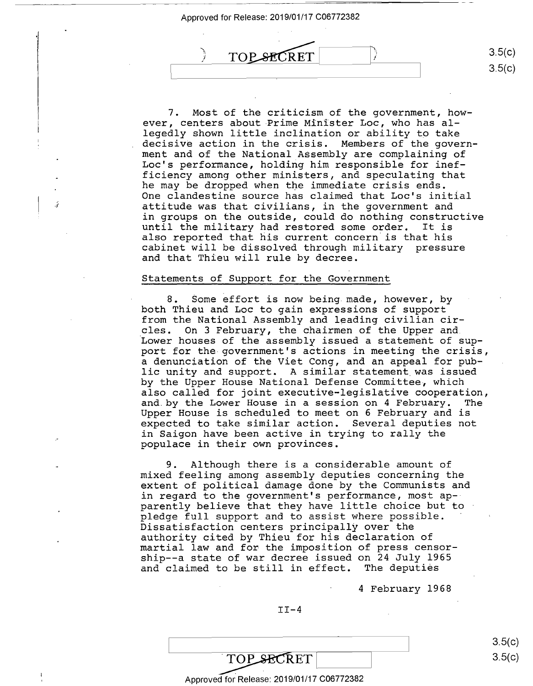

7. Most of the criticism of the government, how~ 7. Most of the criticism of the government, howe ever, centers about Prime Minister Loe, who has al-ever, centers about Prime Minister Loc, who has allegedly shown little inclination or ability to take legedly shown little inclination or ability to take decisive action in the crisis. Members of the govern-decisive action in the crisis. Members of the govern ment and of the National Assembly are complaining of ment and of the National\_ASsembly are complaining of Lac's performance, holding him responsible for inef-Loc's performance, holding him responsible for inef ficiency among other ministers, and speculating that ficiency among other ministers, and speculating that Indicting unding other ministers, and speculating end.<br>he may be dropped when the immediate crisis ends. One clandestine source has claimed that Lac's initial One clandestine source has claimed that Loc's initial attitude was that civilians, in the government and attitude was that civilians, in the government and in groups on the outside, could do nothing constructive in groups on the outside, could do nothing constructive until the military had restored some order. It is until the military had restored some order. It is also reported that his current concern is that his also reported that his current concern is that his cabinet will be dissolved through military pressure cabinet will be dissolved through military pressure and that Thieu will rule by decree. and that Thieu will rule by decree.

### Statements of Support for the Government Statements of Support for the Government

ź

8. Some effort is now being made, however, by 8. Some effort is now being.made, however, by both Thieu and Loe to gain expressions of support both Thieu and Loc to gain eXpressions of support from the National Assembly and leading civilian cir-from the National Assembly and leading civilian circles. On 3 February, the chairmen of the Upper and Icles. On 3 February, the chairmen of the Upper and. Lower houses of the assembly issued a statement of support for the government's actions in meeting the crisis, port for the-government's actions in meeting the crisis, a denunciation of the Viet Cong, and an appeal for pub-<sup>a</sup> denunciation of the Viet Cong, and an appeal for pub lic unity and support. A similar statement.was issued lic unity and support. A similar statement\_was issued by the Upper House National Defense Committee, which by the Upper House National Defense Committee, which also called for joint executive-legislative cooperation, also called for joint executive—legislative c00peration, and.by the Lower House in a session on 4 February. The and by the Lower House in <sup>a</sup> session on 4 February. The Upper House is scheduled to meet on 6 February and is Upper House is scheduled to meet on 6 February and is expected to take similar action. Several deputies not eXpected to take similar action. Several deputies not in Saigon have been active in trying to rally the in Saigon have been active in trying to rally the populace in their own provinces. pOpulace in their own provinces.

9. Although there is a considerable amount of 9. Although there is <sup>a</sup> considerable amount of mixed feeling among assembly deputies concerning the mixed feeling among assembly deputies concerning the extent of political damage done by the Communists and extent of political damage done by the Communists and in regard to the government's performance, most ap-in regard to the government's performance, most ap— parently believe that they have little choice but to parently believe that they have little choice but to pledge full support and to assist where possible. pledge full support and to assist where possible. ' Dissatisfaction centers principally over the Dissatisfaction centers principally over the authority cited by Thieu for his declaration of authority cited by Thieu for his declaration of martial law and for the imposition of press censor-martial law and for the imposition of press censor ship--a state of war decree issued on 24 July 1965 ship——a state ofwar decree issued on <sup>24</sup> July 1965 and claimed to be still in effect. The deputies and claimed to be still in effect. The deputies

4 February 1968 4 February 1968

II-4 II-4

3.5(c) 3.5(c)

3.5(c)

 $3.5(c)$ 

TOP SECRET TOP SECRET 3.5(c)

#### Approved for Release: 2019/01/17 C06772382 Approved for. Release: 2019/01/17 006772382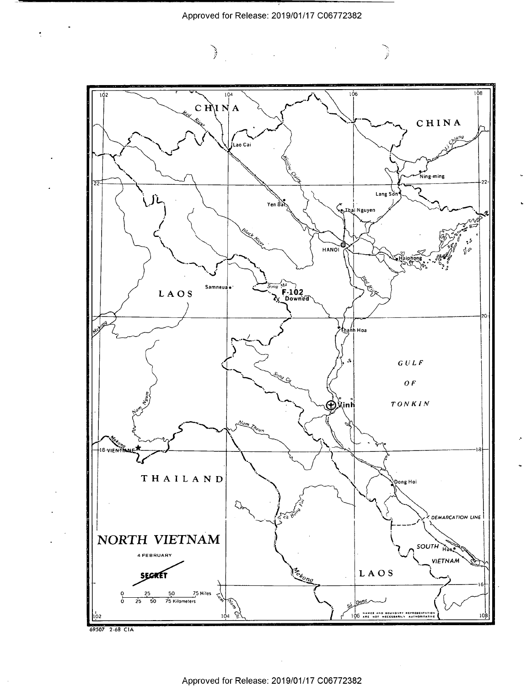Approved for Release: 2019/01/17 C06772382



69507 2-68 CIA

 $\mathcal{L}^{\pm}$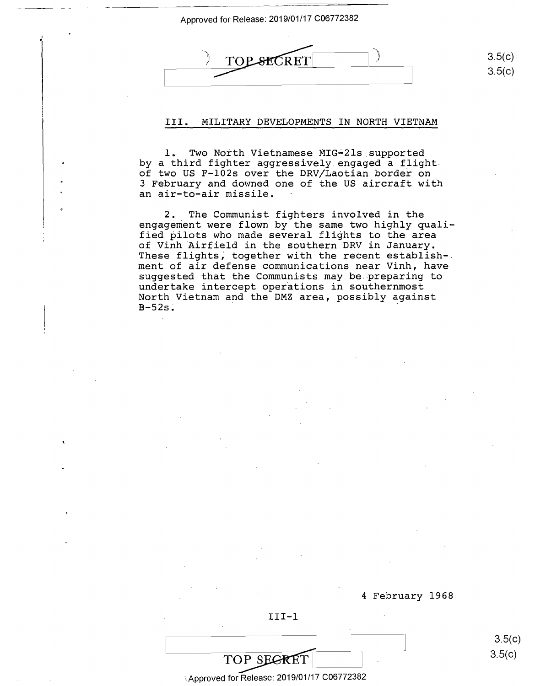$\frac{1}{1}$ 

 $\frac{1}{\sqrt{1-\frac{1}{c^{2}}}}$ .<br>. TOP SECRET E $3.5(c)$ 

III. MILITARY DEVELOPMENTS IN NORTH VIETNAM III. MILITARY DEVELOPMENTS IN NORTH VIETNAM

1. Two North Vietnamese MIG-21s supported by a third fighter aggressively engaged a flight by <sup>a</sup> third fighter aggressively.engaged <sup>a</sup> flightof two us F-102s over the ORV/Laotian border on of two US F—lOZs over the DRV/Laotian border on j February and downed one of the US aircraft with 3 February and downed one of the US aircraft with an air-to-air missile. an air-to—air missile.

2. The Communist fighters involved in the 2. The Communist fighters involved in the engagement were flown by the same two highly quali-engagement were flown by the same two highly qualified pilots who made several flights to the area fied pilots who made several flights to the area of Vinh Airfield in the southern DRV in January. of Vinh Airfield in the southern DRV in January. These flights; together with the recent establish-These flights; together with the recent establish-. ment of air defense communications near Vinh, have ment of air defense communications near Vinh, have suggested that the Communists may be preparing to suggested that the Communists may be preparing to undertake intercept operations in southernmost undertake intercept operations in southernmost anace can't an exerce of the DMZ area, possibly against<br>B-52s.  $B-52s$ .

4 February 1968 4 February 1968

3.5(c)  $3.5(c)$ 

3.5(c)  $3.5(c)$ 

**TOP SECRET** 3.5(c)

III-1 III-l

ા Approved for Release: 2019/01/17 C06772382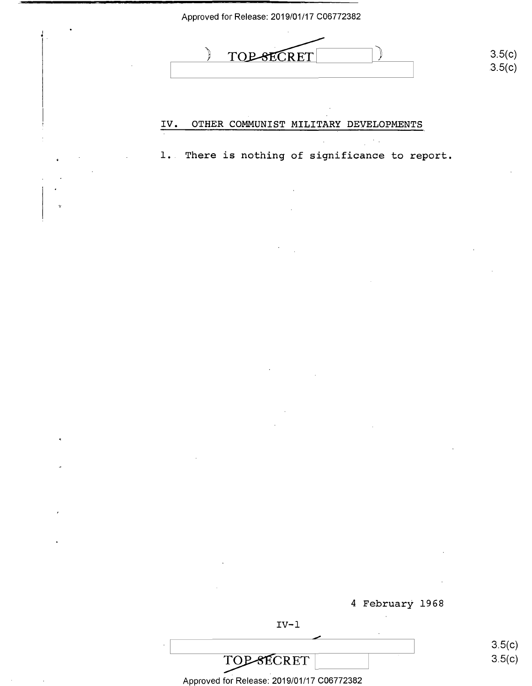|                      |                           | <b>TOP-SECRET</b> |                                                | 3.5(c) |
|----------------------|---------------------------|-------------------|------------------------------------------------|--------|
|                      |                           |                   |                                                | 3.5(c) |
|                      |                           |                   |                                                |        |
|                      | $\underline{\text{IV}}$ . |                   | OTHER COMMUNIST MILITARY DEVELOPMENTS          |        |
|                      |                           |                   |                                                |        |
|                      |                           |                   | 1. There is nothing of significance to report. |        |
|                      |                           |                   |                                                |        |
| ÷                    |                           |                   |                                                |        |
|                      |                           |                   |                                                |        |
|                      |                           |                   |                                                |        |
|                      |                           |                   |                                                |        |
|                      |                           |                   |                                                |        |
|                      |                           |                   |                                                |        |
|                      |                           |                   |                                                |        |
|                      |                           |                   |                                                |        |
|                      |                           |                   |                                                |        |
|                      |                           |                   |                                                |        |
| $\tilde{\mathbf{x}}$ |                           |                   |                                                |        |
|                      |                           |                   |                                                |        |
|                      |                           |                   |                                                |        |
|                      |                           |                   |                                                |        |
| $\pmb{\cdot}$        |                           |                   |                                                |        |
|                      |                           |                   |                                                |        |
|                      |                           |                   |                                                |        |
|                      |                           |                   |                                                |        |
|                      |                           |                   | 4 February 1968                                |        |
|                      |                           | $IV-1$            |                                                |        |

Approved for Release: 2019/01/17 C06772382 Approved fof Release:-2019/01/17 C06772382

 $\mathcal{O}(\mathcal{O}(\log n))$  .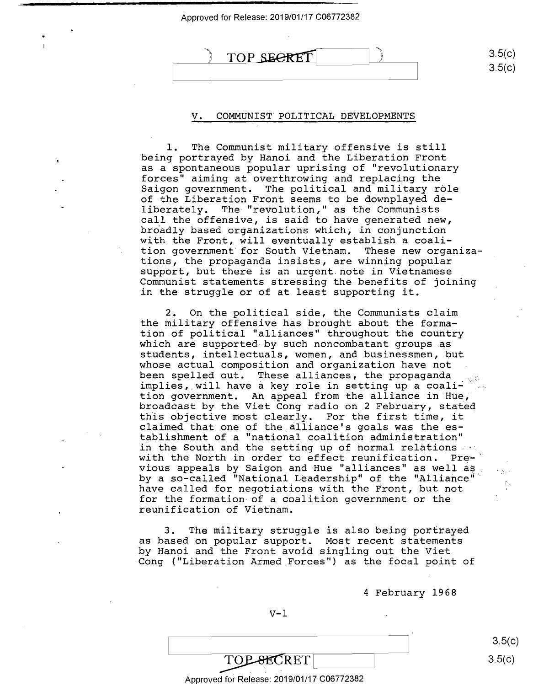# $\overline{)$  TOP SECRET 3.5(c)

#### V. COMMUNIST. POLITICAL DEVELOPMENTS . COMMUNIST POLITICAL DEVELOPMENTS V

1. The Communist military offensive is still l. The Communist military offensive is still being portrayed by Hanoi and the Liberation Front being portrayed by Hanoi and the Liberation Front as a spontaneous popular uprising of "revolutionary as <sup>a</sup> spontaneous pOpular uprising of "revolutionary forces" aiming at overthrowing and replacing the forces" aiming atoverthrowing and replacing the Saigon government. The political and military role Saigon government. The political and military rOle of the Liberation Front seems to be downplayed de-of the Liberation Front seems to be downplayed de liberately. The "revolution," as the Communists liberately. The "revolution," as the Communists call the offensive, is said to have generated new, call the offensive, is said to have generated new, br6adly based organizations which, in conjunction broadly based organizations which, in conjunction with the Front, will eventually establish a coali-with the Front, will eventually establish <sup>a</sup> coali tion government for South Vietnam. These new organiza-tion government for South Vietnam. These new organizations, the propaganda insists, are winning popular tions, the propaganda insists, are winning popular support, but there is an urgent note in Vietnamese support, but there is an urgent.note in Vietnamese Communist statements stressing the benefits of joining Communist statements stressing the benefits of joining in the struggle or of at least supporting it. in the struggle or of at least supporting it.

2. On the political side, the Communists claim 2. On the political side, the Communists claim the military offensive has brought about the forma-the military offensive has brought.about the formation of political "alliances" throughout the country tion of political "alliances" throughout the country which are supported by such noncombatant groups as students, intellectuals, women, and businessmen, but students, intellectuals, women, and businessmen, but whose actual composition and organization have not whose actual composition and organization have not which divided composition and organization have not with the propaganda  $\frac{1}{2}$ been spelled out. These alliances, the propaganda ....<br>implies, will have a key role in setting up a coalition government. An appeal from the alliance in Hue; tion government. An appeal from the alliance in Hue, broadcast by the Viet Cong radio on 2 February, stated broadcast by the Viet Cong radio on 2 February, stated this objective most clearly. For the first time, it this objective most clearly. For the first time, it claimed that one of the.alliance's goals was the es-claimed that one of the alliance's goals was the establishment of a "national coalition administration" tablishment of a "national coalition administration" desired in the South and the setting up of normal relations ... In the Bouth and the Secoring ap or hormar refections of the North in order to effect reunification. Prewe can allow the contract the contract contract of the contract of the set of the set of the violent of the violent of the set of the violent of the violent of the violent of the violent of the violent of the violent of th by a so-called "National Leadership" of the "Alliance" have called for negotiations with the Front, but not have called for negotiations with the Front, but not for the formation of a coalition government or the for the formation of <sup>a</sup> coalition government or the reunification of Vietnam. reunification of Vietnam.

3. The military struggle is also being portrayed 3. The military struggle is also being portrayed as based on popular support. Most recent statements as based on pOpular support. Most recent statements by Hanoi and the Front avoid singling out the Viet by Hanoi and the Front avoid singling out the Viet Cong ("Liberation Armed Forces") as the focal point of Cong ("Liberation Armed Forces") as the focal point of

4 February 1968 4 February 1968

#### $V-1$

3.5(c)  $3.5(c)$  $3.5(c)$ 

3.5(c) 3.5(c)

# TOPSECRET 3.5(c)

I

#### Approved for Release: 2019/01/17 C06772382 Approved for Release: 2019/01/17 006772382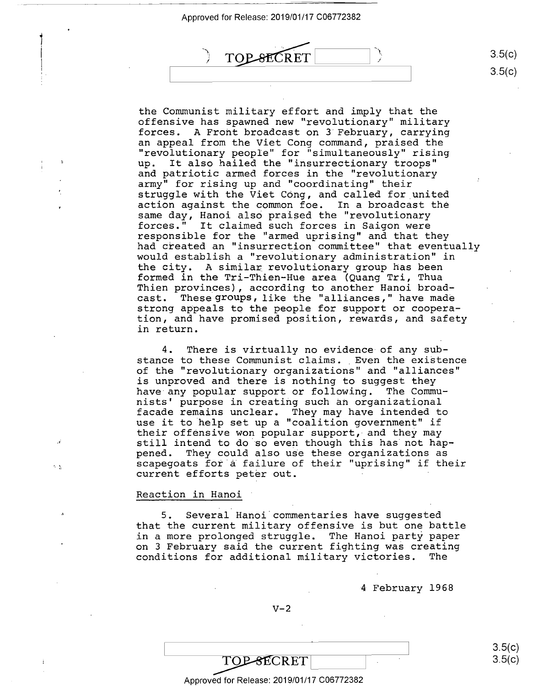$\mathbf{1}$ i  $\vert$ 

' " — ""'—"—'."'u—"-\_

 $^{\prime}$  .



the Communist military effort and imply that the the Communist military effort and imply that the offensive has spawned new "revolutionary" military offensive has Spawned new "revolutionary" military forces. A Front broadcast on 3 February, carrying forces. A Front broadcast on 3'February, carrying an appeal from the Viet Cong command, praised the an appeal from the Viet Cong command, praised the "revolutionary people" for "simultaneously" rising "revolutionary peOple" for "simultaneously" rising up. It also hailed the "insurrectionary troops" up. It also hailed the "insurrectionary trOOps" and patriotic armed forces in the "revolutionary and patriotic armed forces in the "revolutionary army" for rising up and "coordinating" their army" for rising up and "coordinating" their struggle with the Viet Cong, and called for united struggle with the Viet COng, and called for\_united action against the common foe. In a broadcast the actiOn against the common foe. In <sup>a</sup> broadcast the same day, Hanoi also praised the "revolutionary forces." It claimed such forces in Saigon were forces." It claimed such forces in Saigon were responsible for the "armed uprising" and that they responsible for the "armed uprising" and that they had created an "insurrection committee" that eventually had created an "insurrection committee" that eventually<br>would establish a "revolutionary administration" in would be cubited a revolutionary daminibutation in formed in the Tri-Thien-Hue area (Quang Tri, Thua formed in the Tri—Thien—Hue area (Quang Tri, Thua Thien provinces), according to another Hanoi broad-Thien provinces), according to another Hanoi broadcast. These groups, like the "alliances," have made cast. These groups, like the "alliances," have made strong appeals to the people for support or coopera-strong appeals to the peOple for support or c00peration, and have promised position, rewards, and safety tion, and have promised position, rewards, and safety in return. in return. would establish a "revolutionary administration" in

4. There is virtually no evidence of any sub-4. There is virtually no evidence-of any substance to these Communist claims. Even the existence of the "revolutionary organizations" and "alliances" of the "revolutionary organizations" and "alliances" is unproved and there is nothing to suggest they is unproved and there is nothing to suggest they have any popular support or following. The Commu-have any p0pular support or following. The Commu nists' purpose in creating such an organizational nists' purpose in creating such an organizational facade remains unclear. They may have intended to facade remains unclear. They may have intended to racade remains unclear. They may have intended to<br>use it to help set up a "coalition government" if their offensive won popular support, and they may their offensive won pOpular support, and they may still intend to do so even though this has not hap-still intend to do so even though this has not happened. They could also use these organizations as pened. They could also use these organizations as<br>scapegoats for a failure of their "uprising" if their current efforts peter out.<br>current efforts peter out.

## Reaction in Hanoi Reaction in Hanoi

5. Several Hanoi.commentaries have suggested 5. Several Hanoi commentaries have suggested that the current military offensive is but one battle that the current military offensive is but one battle In a more prolonged struggle. The Hanoi party paper on 3 February said the current fighting was creating on 3 February said the current fighting was creating conditions for additional military victories. The conditions for additional military victories. The

4- February 1968 4 February 1968

 $V-2$ 

TOP-SECRET

3.5(c) 3.5(c) TOP-SECRET 3.5(c)

#### Approved for Release: 2019/01/17 C06772382 Approved for Release: 2019/01/17 006772382